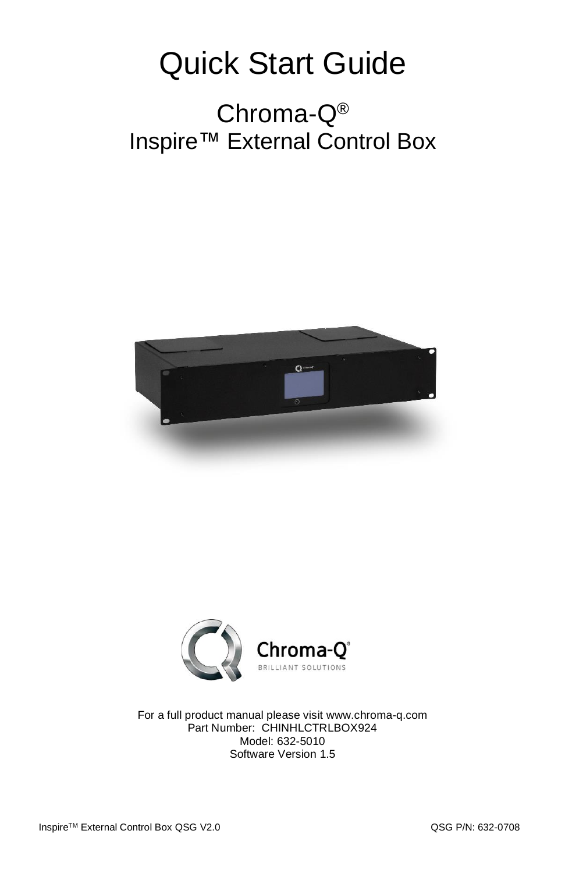## Quick Start Guide

## Chroma-Q® Inspire™ External Control Box





For a full product manual please visit [www.chroma-q.com](http://www.chroma-q.com/) Part Number: CHINHLCTRLBOX924 Model: 632-5010 Software Version 1.5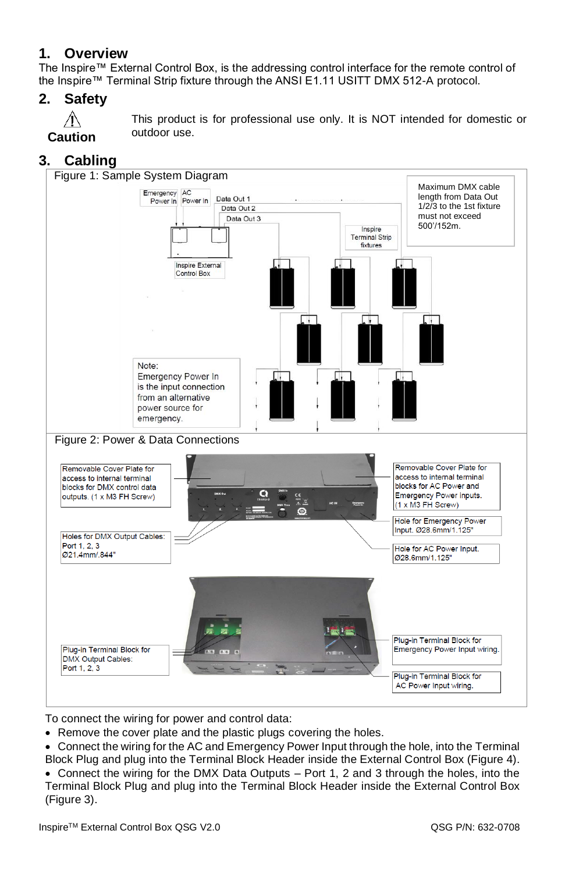#### **1. Overview**

The Inspire™ External Control Box, is the addressing control interface for the remote control of the Inspire™ Terminal Strip fixture through the ANSI E1.11 USITT DMX 512-A protocol.

#### **2. Safety**



This product is for professional use only. It is NOT intended for domestic or outdoor use.

#### **3. Cabling**



To connect the wiring for power and control data:

- Remove the cover plate and the plastic plugs covering the holes.
- Connect the wiring for the AC and Emergency Power Input through the hole, into the Terminal Block Plug and plug into the Terminal Block Header inside the External Control Box (Figure 4).
- Connect the wiring for the DMX Data Outputs Port 1, 2 and 3 through the holes, into the Terminal Block Plug and plug into the Terminal Block Header inside the External Control Box (Figure 3).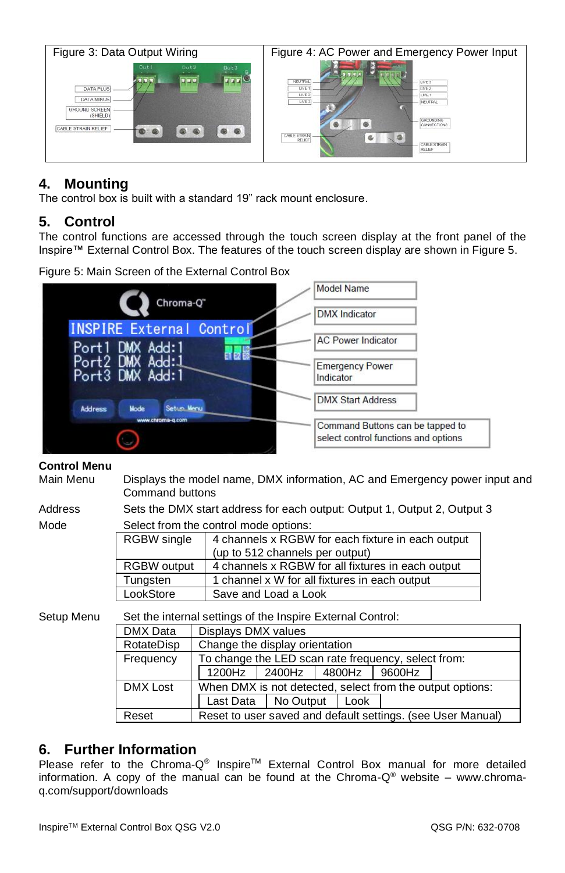| Figure 3: Data Output Wiring                                                                                                                                         | Figure 4: AC Power and Emergency Power Input                                                                                                                                                 |  |  |  |  |
|----------------------------------------------------------------------------------------------------------------------------------------------------------------------|----------------------------------------------------------------------------------------------------------------------------------------------------------------------------------------------|--|--|--|--|
| Out1<br>Dut <sub>2</sub><br>Dut3<br><b>P P P</b><br>$F = F$<br><b>DATA PLUS</b><br><b>DATA MINUS</b><br><b>GROUND SCREEN</b><br>(SHIELD)<br>CABLE STRAIN RELIEF<br>∼ | NEUTRAL<br>$=$ LIVE 3<br>LIVE <sup>1</sup><br>HWE2<br>LIVE:<br>$-$ LIVE 1<br>LIVE 3<br>- NEUTRAL<br><b>GROUNDING</b><br>CONNECTIONS<br>CABLE STRAIN<br>G<br>RELIEF<br>CABLE STRAIN<br>RELIEF |  |  |  |  |

#### **4. Mounting**

The control box is built with a standard 19" rack mount enclosure.

#### **5. Control**

The control functions are accessed through the touch screen display at the front panel of the Inspire™ External Control Box. The features of the touch screen display are shown in Figure 5.

Figure 5: Main Screen of the External Control Box



#### **Control Menu**

Main Menu Displays the model name, DMX information, AC and Emergency power input and Command buttons

Address Sets the DMX start address for each output: Output 1, Output 2, Output 3

Mode Select from the control mode options:

| OCICCI IIOIII IIIC CONITOL IIIOUC OPIIONS. |                                                   |  |  |  |  |
|--------------------------------------------|---------------------------------------------------|--|--|--|--|
| <b>RGBW</b> single                         | 4 channels x RGBW for each fixture in each output |  |  |  |  |
|                                            | (up to 512 channels per output)                   |  |  |  |  |
| RGBW output                                | 4 channels x RGBW for all fixtures in each output |  |  |  |  |
| Tungsten                                   | 1 channel x W for all fixtures in each output     |  |  |  |  |
| LookStore                                  | Save and Load a Look                              |  |  |  |  |

Setup Menu Set the internal settings of the Inspire External Control:

| DMX Data   | Displays DMX values                                         |                      |      |  |        |  |  |  |
|------------|-------------------------------------------------------------|----------------------|------|--|--------|--|--|--|
| RotateDisp | Change the display orientation                              |                      |      |  |        |  |  |  |
| Frequency  | To change the LED scan rate frequency, select from:         |                      |      |  |        |  |  |  |
|            |                                                             | 1200Hz 2400Hz 4800Hz |      |  | 9600Hz |  |  |  |
| DMX Lost   | When DMX is not detected, select from the output options:   |                      |      |  |        |  |  |  |
|            | Last Data                                                   | No Output            | Look |  |        |  |  |  |
| Reset      | Reset to user saved and default settings. (see User Manual) |                      |      |  |        |  |  |  |

#### **6. Further Information**

Please refer to the Chroma-Q<sup>®</sup> Inspire<sup>TM</sup> External Control Box manual for more detailed information. A copy of the manual can be found at the Chroma- $Q^{\circledast}$  website – www.chromaq.com/support/downloads